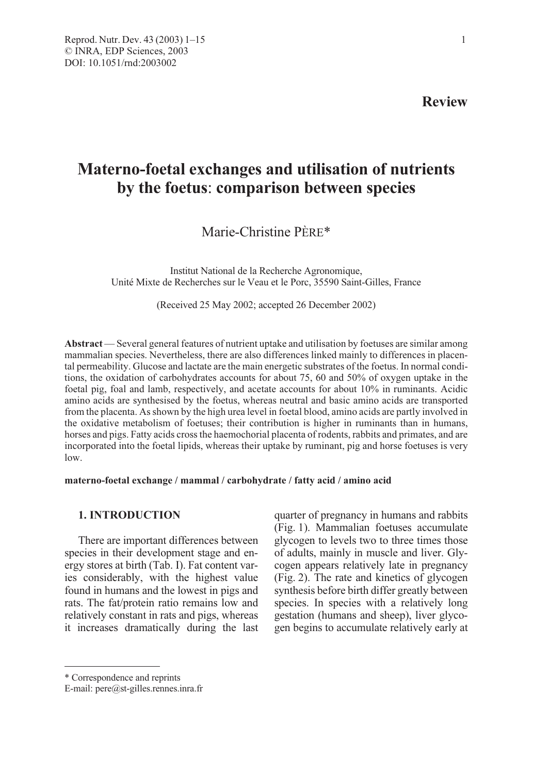Review

# Materno-foetal exchanges and utilisation of nutrients by the foetus: comparison between species

Marie-Christine PÈRE\*

Institut National de la Recherche Agronomique, Unité Mixte de Recherches sur le Veau et le Porc, 35590 Saint-Gilles, France

(Received 25 May 2002; accepted 26 December 2002)

Abstract — Several general features of nutrient uptake and utilisation by foetuses are similar among mammalian species. Nevertheless, there are also differences linked mainly to differences in placental permeability. Glucose and lactate are the main energetic substrates of the foetus. In normal conditions, the oxidation of carbohydrates accounts for about 75, 60 and 50% of oxygen uptake in the foetal pig, foal and lamb, respectively, and acetate accounts for about 10% in ruminants. Acidic amino acids are synthesised by the foetus, whereas neutral and basic amino acids are transported from the placenta. As shown by the high urea level in foetal blood, amino acids are partly involved in the oxidative metabolism of foetuses; their contribution is higher in ruminants than in humans, horses and pigs. Fatty acids cross the haemochorial placenta of rodents, rabbits and primates, and are incorporated into the foetal lipids, whereas their uptake by ruminant, pig and horse foetuses is very low.

#### materno-foetal exchange / mammal / carbohydrate / fatty acid / amino acid

# 1. INTRODUCTION

There are important differences between species in their development stage and energy stores at birth (Tab. I). Fat content varies considerably, with the highest value found in humans and the lowest in pigs and rats. The fat/protein ratio remains low and relatively constant in rats and pigs, whereas it increases dramatically during the last quarter of pregnancy in humans and rabbits (Fig. 1). Mammalian foetuses accumulate glycogen to levels two to three times those of adults, mainly in muscle and liver. Glycogen appears relatively late in pregnancy (Fig. 2). The rate and kinetics of glycogen synthesis before birth differ greatly between species. In species with a relatively long gestation (humans and sheep), liver glycogen begins to accumulate relatively early at

<sup>\*</sup> Correspondence and reprints

E-mail: pere@st-gilles.rennes.inra.fr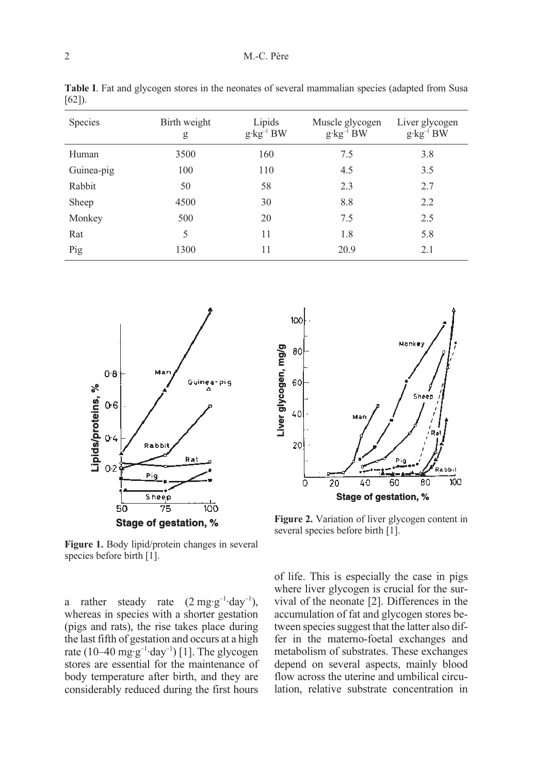| Species    | Birth weight<br>g | Lipids<br>$g \cdot kg^{-1}BW$ | Muscle glycogen<br>$g \cdot kg^{-1}BW$ | Liver glycogen<br>$g \cdot kg^{-1}BW$ |
|------------|-------------------|-------------------------------|----------------------------------------|---------------------------------------|
| Human      | 3500              | 160                           | 7.5                                    | 3.8                                   |
| Guinea-pig | 100               | 110                           | 4.5                                    | 3.5                                   |
| Rabbit     | 50                | 58                            | 2.3                                    | 2.7                                   |
| Sheep      | 4500              | 30                            | 8.8                                    | 2.2                                   |
| Monkey     | 500               | 20                            | 7.5                                    | 2.5                                   |
| Rat        | 5                 | 11                            | 1.8                                    | 5.8                                   |
| Pig        | 1300              | 11                            | 20.9                                   | 2.1                                   |

Table I. Fat and glycogen stores in the neonates of several mammalian species (adapted from Susa [62]).



Figure 1. Body lipid/protein changes in several species before birth [1].

a rather steady rate  $(2 \text{ mg} \cdot \text{g}^{-1} \cdot \text{day}^{-1})$ , whereas in species with a shorter gestation (pigs and rats), the rise takes place during the last fifth of gestation and occurs at a high rate (10–40 mg·g<sup>-1</sup>·day<sup>-1</sup>) [1]. The glycogen stores are essential for the maintenance of body temperature after birth, and they are considerably reduced during the first hours



Figure 2. Variation of liver glycogen content in several species before birth [1].

of life. This is especially the case in pigs where liver glycogen is crucial for the survival of the neonate [2]. Differences in the accumulation of fat and glycogen stores between species suggest that the latter also differ in the materno-foetal exchanges and metabolism of substrates. These exchanges depend on several aspects, mainly blood flow across the uterine and umbilical circulation, relative substrate concentration in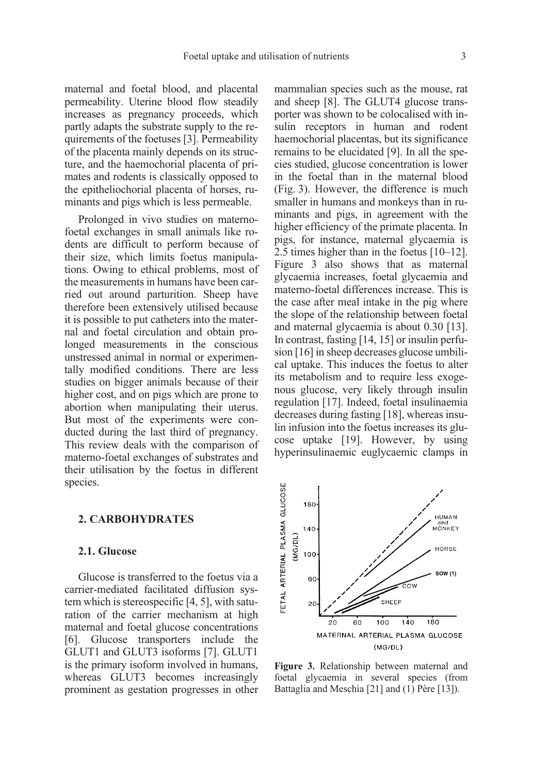maternal and foetal blood, and placental permeability. Uterine blood flow steadily increases as pregnancy proceeds, which partly adapts the substrate supply to the requirements of the foetuses [3]. Permeability of the placenta mainly depends on its structure, and the haemochorial placenta of primates and rodents is classically opposed to the epitheliochorial placenta of horses, ruminants and pigs which is less permeable.

Prolonged in vivo studies on maternofoetal exchanges in small animals like rodents are difficult to perform because of their size, which limits foetus manipulations. Owing to ethical problems, most of the measurements in humans have been carried out around parturition. Sheep have therefore been extensively utilised because it is possible to put catheters into the maternal and foetal circulation and obtain prolonged measurements in the conscious unstressed animal in normal or experimentally modified conditions. There are less studies on bigger animals because of their higher cost, and on pigs which are prone to abortion when manipulating their uterus. But most of the experiments were conducted during the last third of pregnancy. This review deals with the comparison of materno-foetal exchanges of substrates and their utilisation by the foetus in different species.

## 2. CARBOHYDRATES

### 2.1. Glucose

Glucose is transferred to the foetus via a carrier-mediated facilitated diffusion system which is stereospecific [4, 5], with saturation of the carrier mechanism at high maternal and foetal glucose concentrations [6]. Glucose transporters include the GLUT1 and GLUT3 isoforms [7]. GLUT1 is the primary isoform involved in humans, whereas GLUT3 becomes increasingly prominent as gestation progresses in other mammalian species such as the mouse, rat and sheep [8]. The GLUT4 glucose transporter was shown to be colocalised with insulin receptors in human and rodent haemochorial placentas, but its significance remains to be elucidated [9]. In all the species studied, glucose concentration is lower in the foetal than in the maternal blood (Fig. 3). However, the difference is much smaller in humans and monkeys than in ruminants and pigs, in agreement with the higher efficiency of the primate placenta. In pigs, for instance, maternal glycaemia is 2.5 times higher than in the foetus [10–12]. Figure 3 also shows that as maternal glycaemia increases, foetal glycaemia and materno-foetal differences increase. This is the case after meal intake in the pig where the slope of the relationship between foetal and maternal glycaemia is about 0.30 [13]. In contrast, fasting [14, 15] or insulin perfusion [16] in sheep decreases glucose umbilical uptake. This induces the foetus to alter its metabolism and to require less exogenous glucose, very likely through insulin regulation [17]. Indeed, foetal insulinaemia decreases during fasting [18], whereas insulin infusion into the foetus increases its glucose uptake [19]. However, by using hyperinsulinaemic euglycaemic clamps in



Figure 3. Relationship between maternal and foetal glycaemia in several species (from Battaglia and Meschia [21] and (1) Père [13]).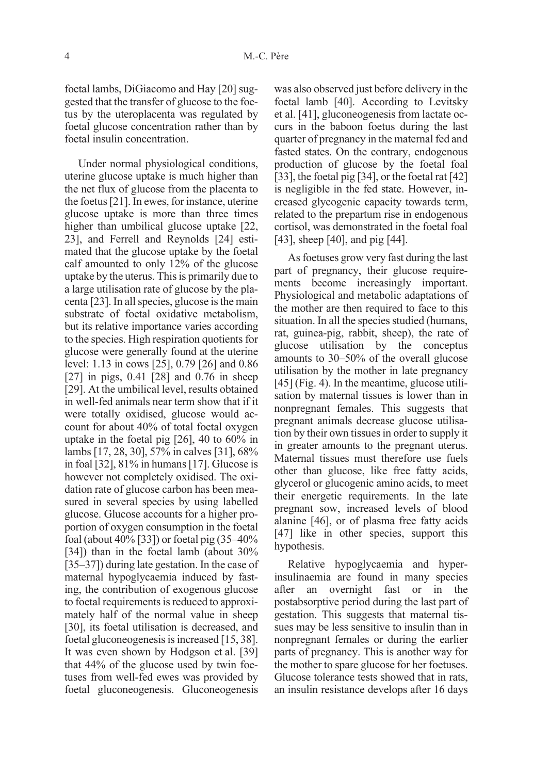foetal lambs, DiGiacomo and Hay [20] suggested that the transfer of glucose to the foetus by the uteroplacenta was regulated by foetal glucose concentration rather than by foetal insulin concentration.

Under normal physiological conditions, uterine glucose uptake is much higher than the net flux of glucose from the placenta to the foetus [21]. In ewes, for instance, uterine glucose uptake is more than three times higher than umbilical glucose uptake [22, 23], and Ferrell and Reynolds [24] estimated that the glucose uptake by the foetal calf amounted to only 12% of the glucose uptake by the uterus. This is primarily due to a large utilisation rate of glucose by the placenta [23]. In all species, glucose is the main substrate of foetal oxidative metabolism, but its relative importance varies according to the species. High respiration quotients for glucose were generally found at the uterine level: 1.13 in cows [25], 0.79 [26] and 0.86 [27] in pigs, 0.41 [28] and 0.76 in sheep [29]. At the umbilical level, results obtained in well-fed animals near term show that if it were totally oxidised, glucose would account for about 40% of total foetal oxygen uptake in the foetal pig [26], 40 to 60% in lambs [17, 28, 30], 57% in calves [31], 68% in foal [32], 81% in humans [17]. Glucose is however not completely oxidised. The oxidation rate of glucose carbon has been measured in several species by using labelled glucose. Glucose accounts for a higher proportion of oxygen consumption in the foetal foal (about 40% [33]) or foetal pig (35–40% [34]) than in the foetal lamb (about 30% [35–37]) during late gestation. In the case of maternal hypoglycaemia induced by fasting, the contribution of exogenous glucose to foetal requirements is reduced to approximately half of the normal value in sheep [30], its foetal utilisation is decreased, and foetal gluconeogenesis is increased [15, 38]. It was even shown by Hodgson et al. [39] that 44% of the glucose used by twin foetuses from well-fed ewes was provided by foetal gluconeogenesis. Gluconeogenesis was also observed just before delivery in the foetal lamb [40]. According to Levitsky et al. [41], gluconeogenesis from lactate occurs in the baboon foetus during the last quarter of pregnancy in the maternal fed and fasted states. On the contrary, endogenous production of glucose by the foetal foal [33], the foetal pig [34], or the foetal rat [42] is negligible in the fed state. However, increased glycogenic capacity towards term, related to the prepartum rise in endogenous cortisol, was demonstrated in the foetal foal [43], sheep [40], and pig [44].

As foetuses grow very fast during the last part of pregnancy, their glucose requirements become increasingly important. Physiological and metabolic adaptations of the mother are then required to face to this situation. In all the species studied (humans, rat, guinea-pig, rabbit, sheep), the rate of glucose utilisation by the conceptus amounts to 30–50% of the overall glucose utilisation by the mother in late pregnancy [45] (Fig. 4). In the meantime, glucose utilisation by maternal tissues is lower than in nonpregnant females. This suggests that pregnant animals decrease glucose utilisation by their own tissues in order to supply it in greater amounts to the pregnant uterus. Maternal tissues must therefore use fuels other than glucose, like free fatty acids, glycerol or glucogenic amino acids, to meet their energetic requirements. In the late pregnant sow, increased levels of blood alanine [46], or of plasma free fatty acids [47] like in other species, support this hypothesis.

Relative hypoglycaemia and hyperinsulinaemia are found in many species after an overnight fast or in the postabsorptive period during the last part of gestation. This suggests that maternal tissues may be less sensitive to insulin than in nonpregnant females or during the earlier parts of pregnancy. This is another way for the mother to spare glucose for her foetuses. Glucose tolerance tests showed that in rats, an insulin resistance develops after 16 days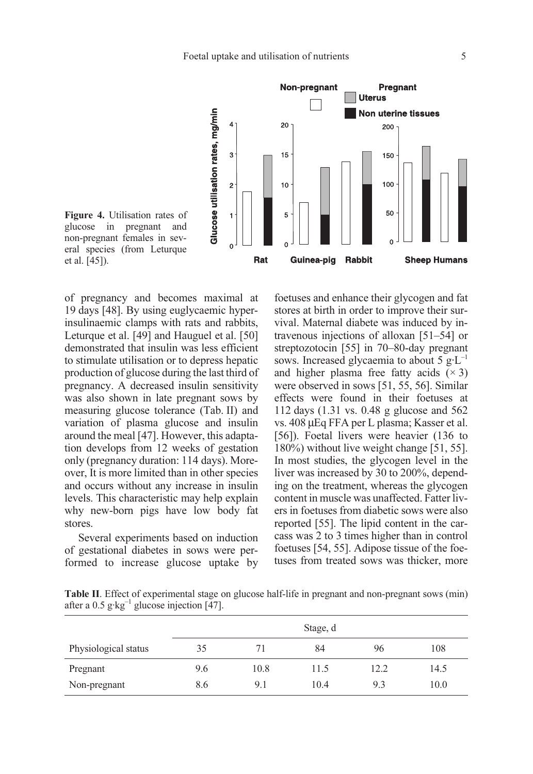

Figure 4. Utilisation rates of glucose in pregnant and non-pregnant females in several species (from Leturque et al. [45]).

of pregnancy and becomes maximal at 19 days [48]. By using euglycaemic hyperinsulinaemic clamps with rats and rabbits, Leturque et al. [49] and Hauguel et al. [50] demonstrated that insulin was less efficient to stimulate utilisation or to depress hepatic production of glucose during the last third of pregnancy. A decreased insulin sensitivity was also shown in late pregnant sows by measuring glucose tolerance (Tab. II) and variation of plasma glucose and insulin around the meal [47]. However, this adaptation develops from 12 weeks of gestation only (pregnancy duration: 114 days). Moreover, It is more limited than in other species and occurs without any increase in insulin levels. This characteristic may help explain why new-born pigs have low body fat stores.

Several experiments based on induction of gestational diabetes in sows were performed to increase glucose uptake by foetuses and enhance their glycogen and fat stores at birth in order to improve their survival. Maternal diabete was induced by intravenous injections of alloxan [51–54] or streptozotocin [55] in 70–80-day pregnant sows. Increased glycaemia to about 5  $g \cdot L^{-1}$ and higher plasma free fatty acids  $(x 3)$ were observed in sows [51, 55, 56]. Similar effects were found in their foetuses at 112 days (1.31 vs. 0.48 g glucose and 562 vs. 408 µEq FFA per L plasma; Kasser et al. [56]). Foetal livers were heavier (136 to 180%) without live weight change [51, 55]. In most studies, the glycogen level in the liver was increased by 30 to 200%, depending on the treatment, whereas the glycogen content in muscle was unaffected. Fatter livers in foetuses from diabetic sows were also reported [55]. The lipid content in the carcass was 2 to 3 times higher than in control foetuses [54, 55]. Adipose tissue of the foetuses from treated sows was thicker, more

Table II. Effect of experimental stage on glucose half-life in pregnant and non-pregnant sows (min) after a 0.5  $g \text{·kg}^{-1}$  glucose injection [47].

|                      | Stage, d |      |      |      |      |
|----------------------|----------|------|------|------|------|
| Physiological status | 35       | 71   | 84   | 96   | 108  |
| Pregnant             | 9.6      | 10.8 | 11.5 | 12.2 | 14.5 |
| Non-pregnant         | 8.6      | 9.1  | 10.4 | 9.3  | 10.0 |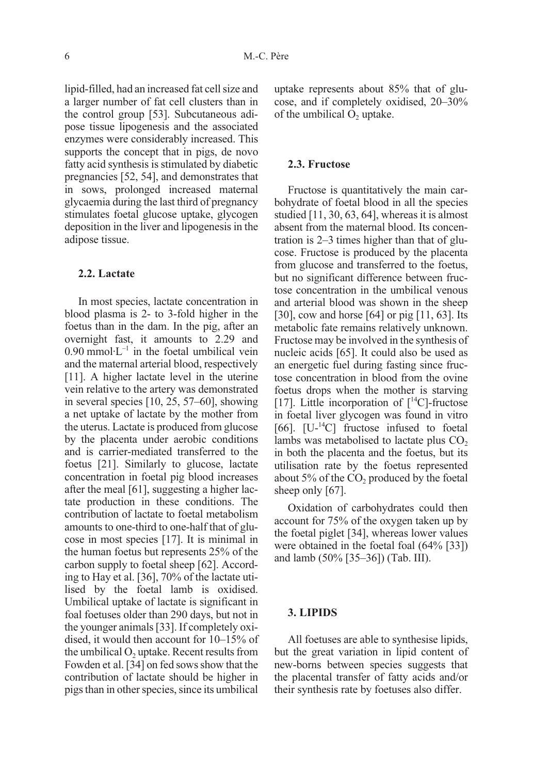lipid-filled, had an increased fat cell size and a larger number of fat cell clusters than in the control group [53]. Subcutaneous adipose tissue lipogenesis and the associated enzymes were considerably increased. This supports the concept that in pigs, de novo fatty acid synthesis is stimulated by diabetic pregnancies [52, 54], and demonstrates that in sows, prolonged increased maternal glycaemia during the last third of pregnancy stimulates foetal glucose uptake, glycogen deposition in the liver and lipogenesis in the adipose tissue.

## 2.2. Lactate

In most species, lactate concentration in blood plasma is 2- to 3-fold higher in the foetus than in the dam. In the pig, after an overnight fast, it amounts to 2.29 and  $0.90$  mmol $\cdot L^{-1}$  in the foetal umbilical vein and the maternal arterial blood, respectively [11]. A higher lactate level in the uterine vein relative to the artery was demonstrated in several species [10, 25, 57–60], showing a net uptake of lactate by the mother from the uterus. Lactate is produced from glucose by the placenta under aerobic conditions and is carrier-mediated transferred to the foetus [21]. Similarly to glucose, lactate concentration in foetal pig blood increases after the meal [61], suggesting a higher lactate production in these conditions. The contribution of lactate to foetal metabolism amounts to one-third to one-half that of glucose in most species [17]. It is minimal in the human foetus but represents 25% of the carbon supply to foetal sheep [62]. According to Hay et al. [36], 70% of the lactate utilised by the foetal lamb is oxidised. Umbilical uptake of lactate is significant in foal foetuses older than 290 days, but not in the younger animals [33]. If completely oxidised, it would then account for 10–15% of the umbilical  $O<sub>2</sub>$  uptake. Recent results from Fowden et al. [34] on fed sows show that the contribution of lactate should be higher in pigs than in other species, since its umbilical uptake represents about 85% that of glucose, and if completely oxidised, 20–30% of the umbilical O<sub>2</sub> uptake.

#### 2.3. Fructose

Fructose is quantitatively the main carbohydrate of foetal blood in all the species studied [11, 30, 63, 64], whereas it is almost absent from the maternal blood. Its concentration is 2–3 times higher than that of glucose. Fructose is produced by the placenta from glucose and transferred to the foetus, but no significant difference between fructose concentration in the umbilical venous and arterial blood was shown in the sheep [30], cow and horse [64] or pig [11, 63]. Its metabolic fate remains relatively unknown. Fructose may be involved in the synthesis of nucleic acids [65]. It could also be used as an energetic fuel during fasting since fructose concentration in blood from the ovine foetus drops when the mother is starving [17]. Little incorporation of  $[^{14}C]$ -fructose in foetal liver glycogen was found in vitro [66].  $[U^{-14}C]$  fructose infused to foetal lambs was metabolised to lactate plus  $CO<sub>2</sub>$ in both the placenta and the foetus, but its utilisation rate by the foetus represented about  $5\%$  of the CO<sub>2</sub> produced by the foetal sheep only [67].

Oxidation of carbohydrates could then account for 75% of the oxygen taken up by the foetal piglet [34], whereas lower values were obtained in the foetal foal (64% [33]) and lamb (50% [35–36]) (Tab. III).

## 3. LIPIDS

All foetuses are able to synthesise lipids, but the great variation in lipid content of new-borns between species suggests that the placental transfer of fatty acids and/or their synthesis rate by foetuses also differ.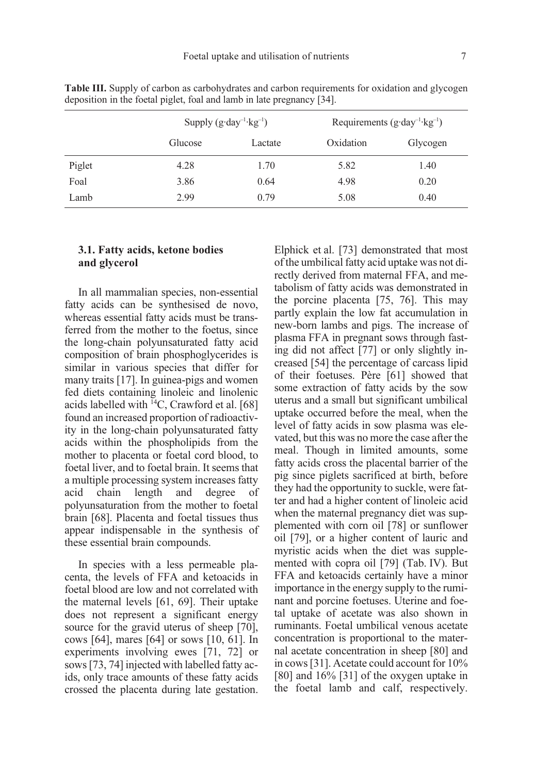|        | Supply $(g \cdot day^{-1} \cdot kg^{-1})$ |         | Requirements $(g \cdot day^{-1} \cdot kg^{-1})$ |          |
|--------|-------------------------------------------|---------|-------------------------------------------------|----------|
|        | Glucose                                   | Lactate | Oxidation                                       | Glycogen |
| Piglet | 4.28                                      | 1.70    | 5.82                                            | 1.40     |
| Foal   | 3.86                                      | 0.64    | 4.98                                            | 0.20     |
| Lamb   | 2.99                                      | 0.79    | 5.08                                            | 0.40     |

Table III. Supply of carbon as carbohydrates and carbon requirements for oxidation and glycogen deposition in the foetal piglet, foal and lamb in late pregnancy [34].

## 3.1. Fatty acids, ketone bodies and glycerol

In all mammalian species, non-essential fatty acids can be synthesised de novo, whereas essential fatty acids must be transferred from the mother to the foetus, since the long-chain polyunsaturated fatty acid composition of brain phosphoglycerides is similar in various species that differ for many traits [17]. In guinea-pigs and women fed diets containing linoleic and linolenic acids labelled with  $^{14}$ C, Crawford et al. [68] found an increased proportion of radioactivity in the long-chain polyunsaturated fatty acids within the phospholipids from the mother to placenta or foetal cord blood, to foetal liver, and to foetal brain. It seems that a multiple processing system increases fatty acid chain length and degree of polyunsaturation from the mother to foetal brain [68]. Placenta and foetal tissues thus appear indispensable in the synthesis of these essential brain compounds.

In species with a less permeable placenta, the levels of FFA and ketoacids in foetal blood are low and not correlated with the maternal levels [61, 69]. Their uptake does not represent a significant energy source for the gravid uterus of sheep [70], cows [64], mares [64] or sows [10, 61]. In experiments involving ewes [71, 72] or sows [73, 74] injected with labelled fatty acids, only trace amounts of these fatty acids crossed the placenta during late gestation. Elphick et al. [73] demonstrated that most of the umbilical fatty acid uptake was not directly derived from maternal FFA, and metabolism of fatty acids was demonstrated in the porcine placenta [75, 76]. This may partly explain the low fat accumulation in new-born lambs and pigs. The increase of plasma FFA in pregnant sows through fasting did not affect [77] or only slightly increased [54] the percentage of carcass lipid of their foetuses. Père [61] showed that some extraction of fatty acids by the sow uterus and a small but significant umbilical uptake occurred before the meal, when the level of fatty acids in sow plasma was elevated, but this was no more the case after the meal. Though in limited amounts, some fatty acids cross the placental barrier of the pig since piglets sacrificed at birth, before they had the opportunity to suckle, were fatter and had a higher content of linoleic acid when the maternal pregnancy diet was supplemented with corn oil [78] or sunflower oil [79], or a higher content of lauric and myristic acids when the diet was supplemented with copra oil [79] (Tab. IV). But FFA and ketoacids certainly have a minor importance in the energy supply to the ruminant and porcine foetuses. Uterine and foetal uptake of acetate was also shown in ruminants. Foetal umbilical venous acetate concentration is proportional to the maternal acetate concentration in sheep [80] and in cows [31]. Acetate could account for 10% [80] and  $16\%$  [31] of the oxygen uptake in the foetal lamb and calf, respectively.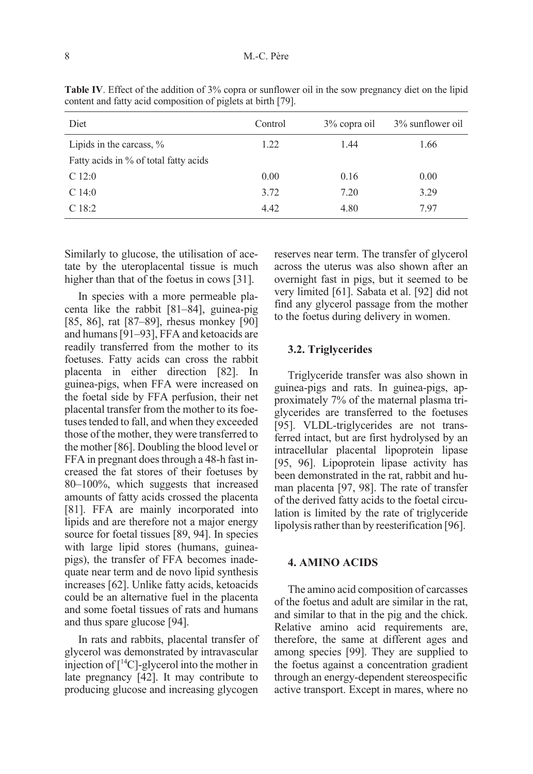| Diet                                  | Control | 3% copra oil | 3% sunflower oil |
|---------------------------------------|---------|--------------|------------------|
| Lipids in the carcass, $\%$           | 1.22    | 1.44         | 1.66             |
| Fatty acids in % of total fatty acids |         |              |                  |
| C12:0                                 | 0.00    | 0.16         | 0.00             |
| C14:0                                 | 3.72    | 7.20         | 3.29             |
| C <sub>18:2</sub>                     | 4.42    | 4.80         | 7.97             |

Table IV. Effect of the addition of 3% copra or sunflower oil in the sow pregnancy diet on the lipid content and fatty acid composition of piglets at birth [79].

Similarly to glucose, the utilisation of acetate by the uteroplacental tissue is much higher than that of the foetus in cows [31].

In species with a more permeable placenta like the rabbit [81–84], guinea-pig [85, 86], rat [87–89], rhesus monkey [90] and humans [91–93], FFA and ketoacids are readily transferred from the mother to its foetuses. Fatty acids can cross the rabbit placenta in either direction [82]. In guinea-pigs, when FFA were increased on the foetal side by FFA perfusion, their net placental transfer from the mother to its foetuses tended to fall, and when they exceeded those of the mother, they were transferred to the mother [86]. Doubling the blood level or FFA in pregnant does through a 48-h fast increased the fat stores of their foetuses by 80–100%, which suggests that increased amounts of fatty acids crossed the placenta [81]. FFA are mainly incorporated into lipids and are therefore not a major energy source for foetal tissues [89, 94]. In species with large lipid stores (humans, guineapigs), the transfer of FFA becomes inadequate near term and de novo lipid synthesis increases [62]. Unlike fatty acids, ketoacids could be an alternative fuel in the placenta and some foetal tissues of rats and humans and thus spare glucose [94].

In rats and rabbits, placental transfer of glycerol was demonstrated by intravascular injection of  $\lceil {^{14}C} \rceil$ -glycerol into the mother in late pregnancy [42]. It may contribute to producing glucose and increasing glycogen reserves near term. The transfer of glycerol across the uterus was also shown after an overnight fast in pigs, but it seemed to be very limited [61]. Sabata et al. [92] did not find any glycerol passage from the mother to the foetus during delivery in women.

### 3.2. Triglycerides

Triglyceride transfer was also shown in guinea-pigs and rats. In guinea-pigs, approximately 7% of the maternal plasma triglycerides are transferred to the foetuses [95]. VLDL-triglycerides are not transferred intact, but are first hydrolysed by an intracellular placental lipoprotein lipase [95, 96]. Lipoprotein lipase activity has been demonstrated in the rat, rabbit and human placenta [97, 98]. The rate of transfer of the derived fatty acids to the foetal circulation is limited by the rate of triglyceride lipolysis rather than by reesterification [96].

## 4. AMINO ACIDS

The amino acid composition of carcasses of the foetus and adult are similar in the rat, and similar to that in the pig and the chick. Relative amino acid requirements are, therefore, the same at different ages and among species [99]. They are supplied to the foetus against a concentration gradient through an energy-dependent stereospecific active transport. Except in mares, where no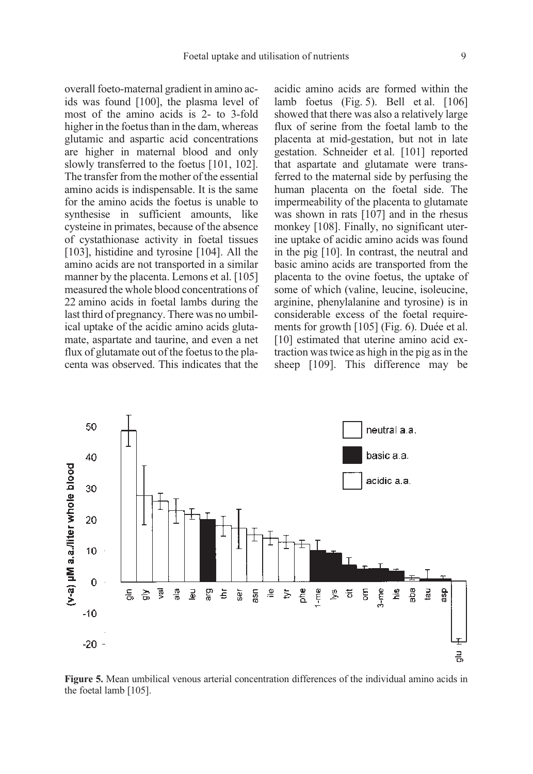overall foeto-maternal gradient in amino acids was found [100], the plasma level of most of the amino acids is 2- to 3-fold higher in the foetus than in the dam, whereas glutamic and aspartic acid concentrations are higher in maternal blood and only slowly transferred to the foetus [101, 102]. The transfer from the mother of the essential amino acids is indispensable. It is the same for the amino acids the foetus is unable to synthesise in sufficient amounts, like cysteine in primates, because of the absence of cystathionase activity in foetal tissues [103], histidine and tyrosine [104]. All the amino acids are not transported in a similar manner by the placenta. Lemons et al. [105] measured the whole blood concentrations of 22 amino acids in foetal lambs during the last third of pregnancy. There was no umbilical uptake of the acidic amino acids glutamate, aspartate and taurine, and even a net flux of glutamate out of the foetus to the placenta was observed. This indicates that the acidic amino acids are formed within the lamb foetus (Fig. 5). Bell et al. [106] showed that there was also a relatively large flux of serine from the foetal lamb to the placenta at mid-gestation, but not in late gestation. Schneider et al. [101] reported that aspartate and glutamate were transferred to the maternal side by perfusing the human placenta on the foetal side. The impermeability of the placenta to glutamate was shown in rats [107] and in the rhesus monkey [108]. Finally, no significant uterine uptake of acidic amino acids was found in the pig [10]. In contrast, the neutral and basic amino acids are transported from the placenta to the ovine foetus, the uptake of some of which (valine, leucine, isoleucine, arginine, phenylalanine and tyrosine) is in considerable excess of the foetal requirements for growth [105] (Fig. 6). Duée et al. [10] estimated that uterine amino acid extraction was twice as high in the pig as in the sheep [109]. This difference may be



Figure 5. Mean umbilical venous arterial concentration differences of the individual amino acids in the foetal lamb [105].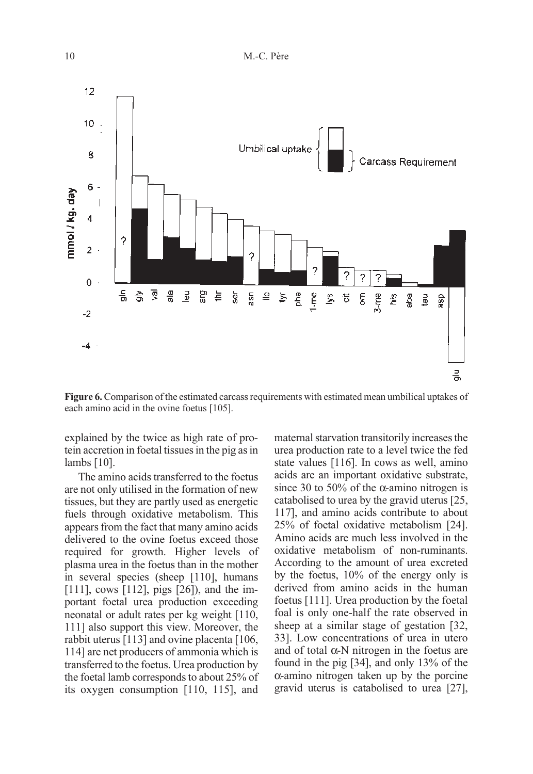

Figure 6. Comparison of the estimated carcass requirements with estimated mean umbilical uptakes of each amino acid in the ovine foetus [105].

explained by the twice as high rate of protein accretion in foetal tissues in the pig as in lambs [10].

The amino acids transferred to the foetus are not only utilised in the formation of new tissues, but they are partly used as energetic fuels through oxidative metabolism. This appears from the fact that many amino acids delivered to the ovine foetus exceed those required for growth. Higher levels of plasma urea in the foetus than in the mother in several species (sheep [110], humans [111], cows [112], pigs [26]), and the important foetal urea production exceeding neonatal or adult rates per kg weight [110, 111] also support this view. Moreover, the rabbit uterus [113] and ovine placenta [106, 114] are net producers of ammonia which is transferred to the foetus. Urea production by the foetal lamb corresponds to about 25% of its oxygen consumption [110, 115], and maternal starvation transitorily increases the urea production rate to a level twice the fed state values [116]. In cows as well, amino acids are an important oxidative substrate, since 30 to 50% of the  $\alpha$ -amino nitrogen is catabolised to urea by the gravid uterus [25, 117], and amino acids contribute to about 25% of foetal oxidative metabolism [24]. Amino acids are much less involved in the oxidative metabolism of non-ruminants. According to the amount of urea excreted by the foetus, 10% of the energy only is derived from amino acids in the human foetus [111]. Urea production by the foetal foal is only one-half the rate observed in sheep at a similar stage of gestation [32, 33]. Low concentrations of urea in utero and of total  $\alpha$ -N nitrogen in the foetus are found in the pig [34], and only 13% of the α-amino nitrogen taken up by the porcine gravid uterus is catabolised to urea [27],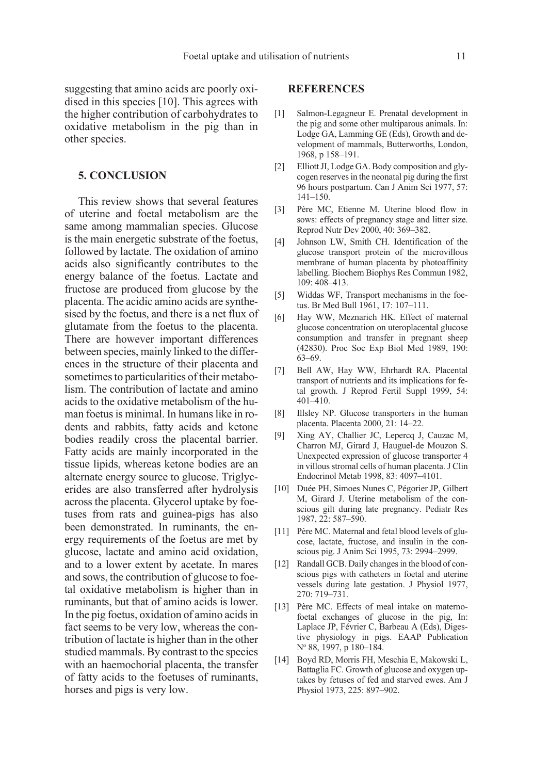### 5. CONCLUSION

This review shows that several features of uterine and foetal metabolism are the same among mammalian species. Glucose is the main energetic substrate of the foetus, followed by lactate. The oxidation of amino acids also significantly contributes to the energy balance of the foetus. Lactate and fructose are produced from glucose by the placenta. The acidic amino acids are synthesised by the foetus, and there is a net flux of glutamate from the foetus to the placenta. There are however important differences between species, mainly linked to the differences in the structure of their placenta and sometimes to particularities of their metabolism. The contribution of lactate and amino acids to the oxidative metabolism of the human foetus is minimal. In humans like in rodents and rabbits, fatty acids and ketone bodies readily cross the placental barrier. Fatty acids are mainly incorporated in the tissue lipids, whereas ketone bodies are an alternate energy source to glucose. Triglycerides are also transferred after hydrolysis across the placenta. Glycerol uptake by foetuses from rats and guinea-pigs has also been demonstrated. In ruminants, the energy requirements of the foetus are met by glucose, lactate and amino acid oxidation, and to a lower extent by acetate. In mares and sows, the contribution of glucose to foetal oxidative metabolism is higher than in ruminants, but that of amino acids is lower. In the pig foetus, oxidation of amino acids in fact seems to be very low, whereas the contribution of lactate is higher than in the other studied mammals. By contrast to the species with an haemochorial placenta, the transfer of fatty acids to the foetuses of ruminants, horses and pigs is very low.

## **REFERENCES**

- [1] Salmon-Legagneur E. Prenatal development in the pig and some other multiparous animals. In: Lodge GA, Lamming GE (Eds), Growth and development of mammals, Butterworths, London, 1968, p 158–191.
- [2] Elliott JI, Lodge GA. Body composition and glycogen reserves in the neonatal pig during the first 96 hours postpartum. Can J Anim Sci 1977, 57: 141–150.
- [3] Père MC, Etienne M. Uterine blood flow in sows: effects of pregnancy stage and litter size. Reprod Nutr Dev 2000, 40: 369–382.
- [4] Johnson LW, Smith CH. Identification of the glucose transport protein of the microvillous membrane of human placenta by photoaffinity labelling. Biochem Biophys Res Commun 1982, 109: 408–413.
- [5] Widdas WF, Transport mechanisms in the foetus. Br Med Bull 1961, 17: 107–111.
- [6] Hay WW, Meznarich HK. Effect of maternal glucose concentration on uteroplacental glucose consumption and transfer in pregnant sheep (42830). Proc Soc Exp Biol Med 1989, 190: 63–69.
- [7] Bell AW, Hay WW, Ehrhardt RA. Placental transport of nutrients and its implications for fetal growth. J Reprod Fertil Suppl 1999, 54:  $401-410$ .
- [8] Illsley NP. Glucose transporters in the human placenta. Placenta 2000, 21: 14–22.
- [9] Xing AY, Challier JC, Lepercq J, Cauzac M, Charron MJ, Girard J, Hauguel-de Mouzon S. Unexpected expression of glucose transporter 4 in villous stromal cells of human placenta. J Clin Endocrinol Metab 1998, 83: 4097–4101.
- [10] Duée PH, Simoes Nunes C, Pégorier JP, Gilbert M, Girard J. Uterine metabolism of the conscious gilt during late pregnancy. Pediatr Res 1987, 22: 587–590.
- [11] Père MC. Maternal and fetal blood levels of glucose, lactate, fructose, and insulin in the conscious pig. J Anim Sci 1995, 73: 2994–2999.
- [12] Randall GCB. Daily changes in the blood of conscious pigs with catheters in foetal and uterine vessels during late gestation. J Physiol 1977, 270: 719–731.
- [13] Père MC. Effects of meal intake on maternofoetal exchanges of glucose in the pig, In: Laplace JP, Février C, Barbeau A (Eds), Digestive physiology in pigs. EAAP Publication No 88, 1997, p 180–184.
- [14] Boyd RD, Morris FH, Meschia E, Makowski L, Battaglia FC. Growth of glucose and oxygen uptakes by fetuses of fed and starved ewes. Am J Physiol 1973, 225: 897–902.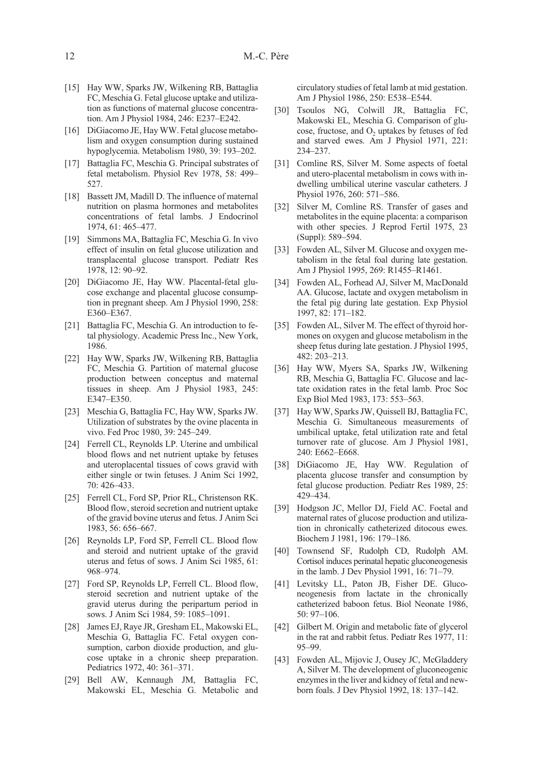- [15] Hay WW, Sparks JW, Wilkening RB, Battaglia FC, Meschia G. Fetal glucose uptake and utilization as functions of maternal glucose concentration. Am J Physiol 1984, 246: E237–E242.
- [16] DiGiacomo JE, Hay WW. Fetal glucose metabolism and oxygen consumption during sustained hypoglycemia. Metabolism 1980, 39: 193–202.
- [17] Battaglia FC, Meschia G. Principal substrates of fetal metabolism. Physiol Rev 1978, 58: 499– 527.
- [18] Bassett JM, Madill D. The influence of maternal nutrition on plasma hormones and metabolites concentrations of fetal lambs. J Endocrinol 1974, 61: 465–477.
- [19] Simmons MA, Battaglia FC, Meschia G. In vivo effect of insulin on fetal glucose utilization and transplacental glucose transport. Pediatr Res 1978, 12: 90–92.
- [20] DiGiacomo JE, Hay WW. Placental-fetal glucose exchange and placental glucose consumption in pregnant sheep. Am J Physiol 1990, 258: E360–E367.
- [21] Battaglia FC, Meschia G. An introduction to fetal physiology. Academic Press Inc., New York, 1986.
- [22] Hay WW, Sparks JW, Wilkening RB, Battaglia FC, Meschia G. Partition of maternal glucose production between conceptus and maternal tissues in sheep. Am J Physiol 1983, 245: E347–E350.
- [23] Meschia G, Battaglia FC, Hay WW, Sparks JW. Utilization of substrates by the ovine placenta in vivo. Fed Proc 1980, 39: 245–249.
- [24] Ferrell CL, Reynolds LP. Uterine and umbilical blood flows and net nutrient uptake by fetuses and uteroplacental tissues of cows gravid with either single or twin fetuses. J Anim Sci 1992, 70: 426–433.
- [25] Ferrell CL, Ford SP, Prior RL, Christenson RK. Blood flow, steroid secretion and nutrient uptake of the gravid bovine uterus and fetus. J Anim Sci 1983, 56: 656–667.
- [26] Reynolds LP, Ford SP, Ferrell CL. Blood flow and steroid and nutrient uptake of the gravid uterus and fetus of sows. J Anim Sci 1985, 61: 968–974.
- [27] Ford SP, Reynolds LP, Ferrell CL. Blood flow, steroid secretion and nutrient uptake of the gravid uterus during the peripartum period in sows. J Anim Sci 1984, 59: 1085–1091.
- [28] James EJ, Raye JR, Gresham EL, Makowski EL, Meschia G, Battaglia FC. Fetal oxygen consumption, carbon dioxide production, and glucose uptake in a chronic sheep preparation. Pediatrics 1972, 40: 361–371.
- [29] Bell AW, Kennaugh JM, Battaglia FC, Makowski EL, Meschia G. Metabolic and

circulatory studies of fetal lamb at mid gestation. Am J Physiol 1986, 250: E538–E544.

- [30] Tsoulos NG, Colwill JR, Battaglia FC, Makowski EL, Meschia G. Comparison of glucose, fructose, and O<sub>2</sub> uptakes by fetuses of fed and starved ewes. Am J Physiol 1971, 221: 234–237.
- [31] Comline RS, Silver M. Some aspects of foetal and utero-placental metabolism in cows with indwelling umbilical uterine vascular catheters. J Physiol 1976, 260: 571–586.
- [32] Silver M, Comline RS. Transfer of gases and metabolites in the equine placenta: a comparison with other species. J Reprod Fertil 1975, 23 (Suppl): 589–594.
- [33] Fowden AL, Silver M. Glucose and oxygen metabolism in the fetal foal during late gestation. Am J Physiol 1995, 269: R1455–R1461.
- [34] Fowden AL, Forhead AJ, Silver M, MacDonald AA. Glucose, lactate and oxygen metabolism in the fetal pig during late gestation. Exp Physiol 1997, 82: 171–182.
- [35] Fowden AL, Silver M. The effect of thyroid hormones on oxygen and glucose metabolism in the sheep fetus during late gestation. J Physiol 1995, 482: 203–213.
- [36] Hay WW, Myers SA, Sparks JW, Wilkening RB, Meschia G, Battaglia FC. Glucose and lactate oxidation rates in the fetal lamb. Proc Soc Exp Biol Med 1983, 173: 553–563.
- [37] Hay WW, Sparks JW, Quissell BJ, Battaglia FC, Meschia G. Simultaneous measurements of umbilical uptake, fetal utilization rate and fetal turnover rate of glucose. Am J Physiol 1981, 240: E662–E668.
- [38] DiGiacomo JE, Hay WW. Regulation of placenta glucose transfer and consumption by fetal glucose production. Pediatr Res 1989, 25: 429–434.
- [39] Hodgson JC, Mellor DJ, Field AC. Foetal and maternal rates of glucose production and utilization in chronically catheterized ditocous ewes. Biochem J 1981, 196: 179–186.
- [40] Townsend SF, Rudolph CD, Rudolph AM. Cortisol induces perinatal hepatic gluconeogenesis in the lamb. J Dev Physiol 1991, 16: 71–79.
- [41] Levitsky LL, Paton JB, Fisher DE. Gluconeogenesis from lactate in the chronically catheterized baboon fetus. Biol Neonate 1986, 50: 97–106.
- [42] Gilbert M. Origin and metabolic fate of glycerol in the rat and rabbit fetus. Pediatr Res 1977, 11: 95–99.
- [43] Fowden AL, Mijovic J, Ousey JC, McGladdery A, Silver M. The development of gluconeogenic enzymes in the liver and kidney of fetal and newborn foals. J Dev Physiol 1992, 18: 137–142.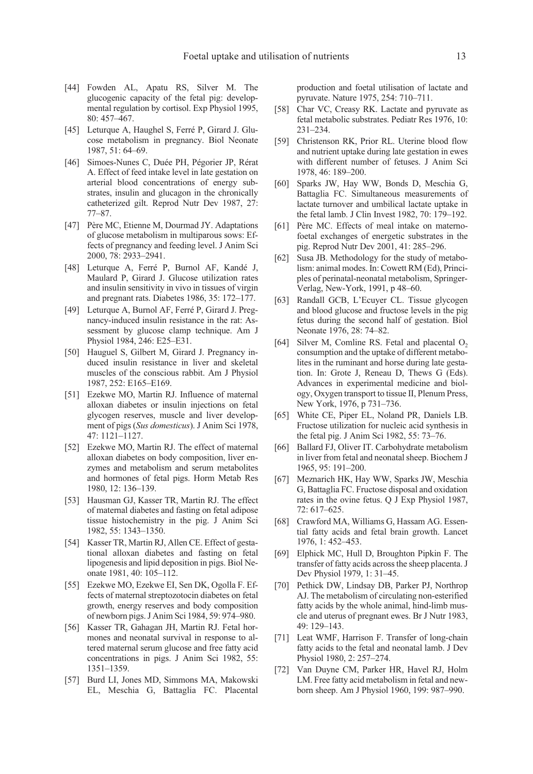- [44] Fowden AL, Apatu RS, Silver M. The glucogenic capacity of the fetal pig: developmental regulation by cortisol. Exp Physiol 1995, 80: 457–467.
- [45] Leturque A, Haughel S, Ferré P, Girard J. Glucose metabolism in pregnancy. Biol Neonate 1987, 51: 64–69.
- [46] Simoes-Nunes C, Duée PH, Pégorier JP, Rérat A. Effect of feed intake level in late gestation on arterial blood concentrations of energy substrates, insulin and glucagon in the chronically catheterized gilt. Reprod Nutr Dev 1987, 27: 77–87.
- [47] Père MC, Etienne M, Dourmad JY. Adaptations of glucose metabolism in multiparous sows: Effects of pregnancy and feeding level. J Anim Sci 2000, 78: 2933–2941.
- [48] Leturque A, Ferré P, Burnol AF, Kandé J, Maulard P, Girard J. Glucose utilization rates and insulin sensitivity in vivo in tissues of virgin and pregnant rats. Diabetes 1986, 35: 172–177.
- [49] Leturque A, Burnol AF, Ferré P, Girard J. Pregnancy-induced insulin resistance in the rat: Assessment by glucose clamp technique. Am J Physiol 1984, 246: E25–E31.
- [50] Hauguel S, Gilbert M, Girard J. Pregnancy induced insulin resistance in liver and skeletal muscles of the conscious rabbit. Am J Physiol 1987, 252: E165–E169.
- [51] Ezekwe MO, Martin RJ. Influence of maternal alloxan diabetes or insulin injections on fetal glycogen reserves, muscle and liver development of pigs (Sus domesticus). J Anim Sci 1978, 47: 1121–1127.
- [52] Ezekwe MO, Martin RJ. The effect of maternal alloxan diabetes on body composition, liver enzymes and metabolism and serum metabolites and hormones of fetal pigs. Horm Metab Res 1980, 12: 136–139.
- [53] Hausman GJ, Kasser TR, Martin RJ. The effect of maternal diabetes and fasting on fetal adipose tissue histochemistry in the pig. J Anim Sci 1982, 55: 1343–1350.
- [54] Kasser TR, Martin RJ, Allen CE. Effect of gestational alloxan diabetes and fasting on fetal lipogenesis and lipid deposition in pigs. Biol Neonate 1981, 40: 105–112.
- [55] Ezekwe MO, Ezekwe EI, Sen DK, Ogolla F. Effects of maternal streptozotocin diabetes on fetal growth, energy reserves and body composition of newborn pigs. J Anim Sci 1984, 59: 974–980.
- [56] Kasser TR, Gahagan JH, Martin RJ. Fetal hormones and neonatal survival in response to altered maternal serum glucose and free fatty acid concentrations in pigs. J Anim Sci 1982, 55: 1351–1359.
- [57] Burd LI, Jones MD, Simmons MA, Makowski EL, Meschia G, Battaglia FC. Placental

production and foetal utilisation of lactate and pyruvate. Nature 1975, 254: 710–711.

- [58] Char VC, Creasy RK. Lactate and pyruvate as fetal metabolic substrates. Pediatr Res 1976, 10: 231–234.
- [59] Christenson RK, Prior RL. Uterine blood flow and nutrient uptake during late gestation in ewes with different number of fetuses. J Anim Sci 1978, 46: 189–200.
- [60] Sparks JW, Hay WW, Bonds D, Meschia G, Battaglia FC. Simultaneous measurements of lactate turnover and umbilical lactate uptake in the fetal lamb. J Clin Invest 1982, 70: 179–192.
- [61] Père MC. Effects of meal intake on maternofoetal exchanges of energetic substrates in the pig. Reprod Nutr Dev 2001, 41: 285–296.
- [62] Susa JB. Methodology for the study of metabolism: animal modes. In: Cowett RM (Ed), Principles of perinatal-neonatal metabolism, Springer-Verlag, New-York, 1991, p 48–60.
- [63] Randall GCB, L'Ecuyer CL. Tissue glycogen and blood glucose and fructose levels in the pig fetus during the second half of gestation. Biol Neonate 1976, 28: 74–82.
- [64] Silver M, Comline RS. Fetal and placental  $O<sub>2</sub>$ consumption and the uptake of different metabolites in the ruminant and horse during late gestation. In: Grote J, Reneau D, Thews G (Eds). Advances in experimental medicine and biology, Oxygen transport to tissue II, Plenum Press, New York, 1976, p 731–736.
- [65] White CE, Piper EL, Noland PR, Daniels LB. Fructose utilization for nucleic acid synthesis in the fetal pig. J Anim Sci 1982, 55: 73–76.
- [66] Ballard FJ, Oliver IT. Carbohydrate metabolism in liver from fetal and neonatal sheep. Biochem J 1965, 95: 191–200.
- [67] Meznarich HK, Hay WW, Sparks JW, Meschia G, Battaglia FC. Fructose disposal and oxidation rates in the ovine fetus. Q J Exp Physiol 1987, 72: 617–625.
- [68] Crawford MA, Williams G, Hassam AG. Essential fatty acids and fetal brain growth. Lancet 1976, 1: 452–453.
- [69] Elphick MC, Hull D, Broughton Pipkin F. The transfer of fatty acids across the sheep placenta. J Dev Physiol 1979, 1: 31–45.
- [70] Pethick DW, Lindsay DB, Parker PJ, Northrop AJ. The metabolism of circulating non-esterified fatty acids by the whole animal, hind-limb muscle and uterus of pregnant ewes. Br J Nutr 1983, 49: 129–143.
- [71] Leat WMF, Harrison F. Transfer of long-chain fatty acids to the fetal and neonatal lamb. J Dev Physiol 1980, 2: 257–274.
- [72] Van Duyne CM, Parker HR, Havel RJ, Holm LM. Free fatty acid metabolism in fetal and newborn sheep. Am J Physiol 1960, 199: 987–990.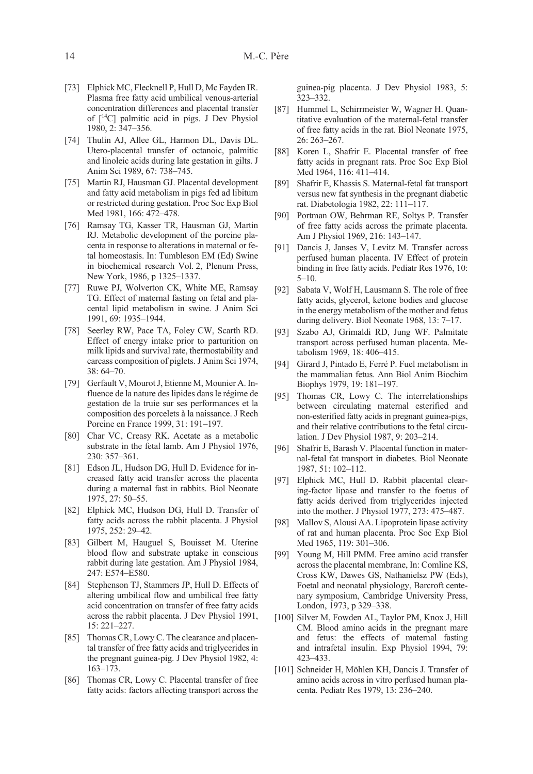- [73] Elphick MC, Flecknell P, Hull D, Mc Fayden IR. Plasma free fatty acid umbilical venous-arterial concentration differences and placental transfer of  $[$ <sup>14</sup>C] palmitic acid in pigs. J Dev Physiol 1980, 2: 347–356.
- [74] Thulin AJ, Allee GL, Harmon DL, Davis DL. Utero-placental transfer of octanoic, palmitic and linoleic acids during late gestation in gilts. J Anim Sci 1989, 67: 738–745.
- [75] Martin RJ, Hausman GJ. Placental development and fatty acid metabolism in pigs fed ad libitum or restricted during gestation. Proc Soc Exp Biol Med 1981, 166: 472–478.
- [76] Ramsay TG, Kasser TR, Hausman GJ, Martin RJ. Metabolic development of the porcine placenta in response to alterations in maternal or fetal homeostasis. In: Tumbleson EM (Ed) Swine in biochemical research Vol. 2, Plenum Press, New York, 1986, p 1325–1337.
- [77] Ruwe PJ, Wolverton CK, White ME, Ramsay TG. Effect of maternal fasting on fetal and placental lipid metabolism in swine. J Anim Sci 1991, 69: 1935–1944.
- [78] Seerley RW, Pace TA, Foley CW, Scarth RD. Effect of energy intake prior to parturition on milk lipids and survival rate, thermostability and carcass composition of piglets. J Anim Sci 1974, 38: 64–70.
- [79] Gerfault V, Mourot J, Etienne M, Mounier A. Influence de la nature des lipides dans le régime de gestation de la truie sur ses performances et la composition des porcelets à la naissance. J Rech Porcine en France 1999, 31: 191–197.
- [80] Char VC, Creasy RK. Acetate as a metabolic substrate in the fetal lamb. Am J Physiol 1976, 230: 357–361.
- [81] Edson JL, Hudson DG, Hull D. Evidence for increased fatty acid transfer across the placenta during a maternal fast in rabbits. Biol Neonate 1975, 27: 50–55.
- [82] Elphick MC, Hudson DG, Hull D. Transfer of fatty acids across the rabbit placenta. J Physiol 1975, 252: 29–42.
- [83] Gilbert M, Hauguel S, Bouisset M. Uterine blood flow and substrate uptake in conscious rabbit during late gestation. Am J Physiol 1984, 247: E574–E580.
- [84] Stephenson TJ, Stammers JP, Hull D. Effects of altering umbilical flow and umbilical free fatty acid concentration on transfer of free fatty acids across the rabbit placenta. J Dev Physiol 1991, 15: 221–227.
- [85] Thomas CR, Lowy C. The clearance and placental transfer of free fatty acids and triglycerides in the pregnant guinea-pig. J Dev Physiol 1982, 4: 163–173.
- [86] Thomas CR, Lowy C. Placental transfer of free fatty acids: factors affecting transport across the

guinea-pig placenta. J Dev Physiol 1983, 5: 323–332.

- [87] Hummel L, Schirrmeister W, Wagner H. Quantitative evaluation of the maternal-fetal transfer of free fatty acids in the rat. Biol Neonate 1975, 26: 263–267.
- [88] Koren L, Shafrir E. Placental transfer of free fatty acids in pregnant rats. Proc Soc Exp Biol Med 1964, 116: 411–414.
- [89] Shafrir E, Khassis S. Maternal-fetal fat transport versus new fat synthesis in the pregnant diabetic rat. Diabetologia 1982, 22: 111–117.
- [90] Portman OW, Behrman RE, Soltys P. Transfer of free fatty acids across the primate placenta. Am J Physiol 1969, 216: 143–147.
- [91] Dancis J, Janses V, Levitz M. Transfer across perfused human placenta. IV Effect of protein binding in free fatty acids. Pediatr Res 1976, 10: 5–10.
- [92] Sabata V, Wolf H, Lausmann S. The role of free fatty acids, glycerol, ketone bodies and glucose in the energy metabolism of the mother and fetus during delivery. Biol Neonate 1968, 13: 7–17.
- [93] Szabo AJ, Grimaldi RD, Jung WF. Palmitate transport across perfused human placenta. Metabolism 1969, 18: 406–415.
- [94] Girard J, Pintado E, Ferré P. Fuel metabolism in the mammalian fetus. Ann Biol Anim Biochim Biophys 1979, 19: 181–197.
- [95] Thomas CR, Lowy C. The interrelationships between circulating maternal esterified and non-esterified fatty acids in pregnant guinea-pigs, and their relative contributions to the fetal circulation. J Dev Physiol 1987, 9: 203–214.
- [96] Shafrir E, Barash V. Placental function in maternal-fetal fat transport in diabetes. Biol Neonate 1987, 51: 102–112.
- [97] Elphick MC, Hull D. Rabbit placental clearing-factor lipase and transfer to the foetus of fatty acids derived from triglycerides injected into the mother. J Physiol 1977, 273: 475–487.
- [98] Mallov S, Alousi AA. Lipoprotein lipase activity of rat and human placenta. Proc Soc Exp Biol Med 1965, 119: 301–306.
- [99] Young M, Hill PMM. Free amino acid transfer across the placental membrane, In: Comline KS, Cross KW, Dawes GS, Nathanielsz PW (Eds), Foetal and neonatal physiology, Barcroft centenary symposium, Cambridge University Press, London, 1973, p 329–338.
- [100] Silver M, Fowden AL, Taylor PM, Knox J, Hill CM. Blood amino acids in the pregnant mare and fetus: the effects of maternal fasting and intrafetal insulin. Exp Physiol 1994, 79: 423–433.
- [101] Schneider H, Möhlen KH, Dancis J. Transfer of amino acids across in vitro perfused human placenta. Pediatr Res 1979, 13: 236–240.